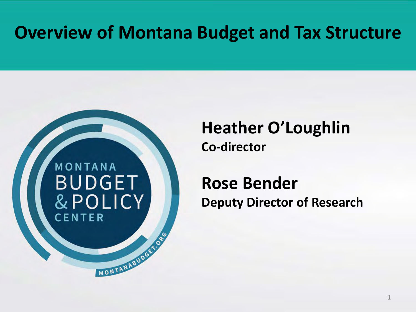### **Overview of Montana Budget and Tax Structure**

# MONTANA **BUDGET** & POLICY CENTER

MONTANA BUDGETON

### **Heather O'Loughlin Co-director**

#### **Rose Bender Deputy Director of Research**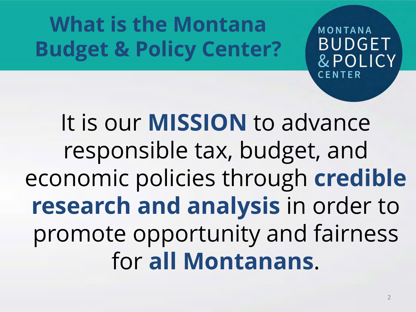**What is the Montana Budget & Policy Center?**

MONTANA **BUDGET** & POLICY CENTER

It is our **MISSION** to advance responsible tax, budget, and economic policies through **credible research and analysis** in order to promote opportunity and fairness for **all Montanans**.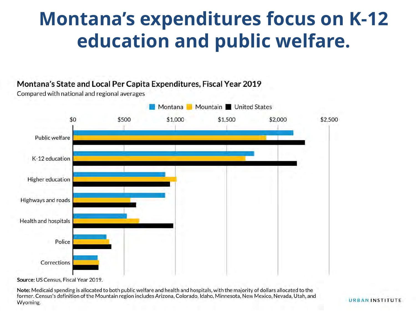### **Montana's expenditures focus on K-12 education and public welfare.**

#### Montana's State and Local Per Capita Expenditures, Fiscal Year 2019

Compared with national and regional averages



Source: US Census, Fiscal Year 2019.

Note: Medicaid spending is allocated to both public welfare and health and hospitals, with the majority of dollars allocated to the former. Census's definition of the Mountain region includes Arizona, Colorado, Idaho, Minnesota, New Mexico, Nevada, Utah, and Wyoming.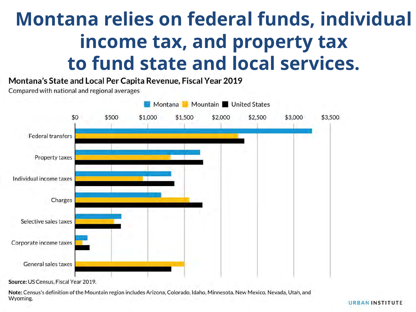## **Montana relies on federal funds, individual income tax, and property tax to fund state and local services.**

Montana's State and Local Per Capita Revenue, Fiscal Year 2019

Compared with national and regional averages



Source: US Census, Fiscal Year 2019.

Note: Census's definition of the Mountain region includes Arizona, Colorado, Idaho, Minnesota, New Mexico, Nevada, Utah, and Wyoming.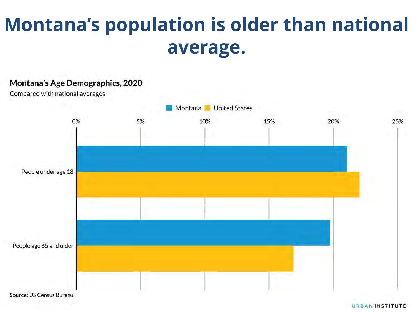## **Montana's population is older than national average.**

#### Montana's Age Demographics, 2020

Compared with national averages



Source: US Census Bureau.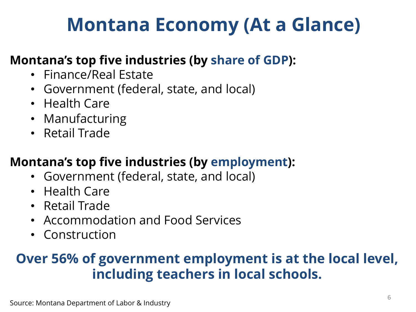## **Montana Economy (At a Glance)**

#### **Montana's top five industries (by share of GDP):**

- Finance/Real Estate
- Government (federal, state, and local)
- Health Care
- Manufacturing
- Retail Trade

#### **Montana's top five industries (by employment):**

- Government (federal, state, and local)
- Health Care
- Retail Trade
- Accommodation and Food Services
- Construction

#### **Over 56% of government employment is at the local level, including teachers in local schools.**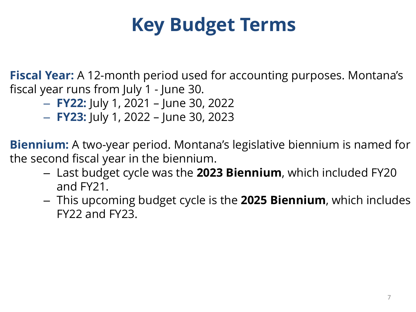## **Key Budget Terms**

**Fiscal Year:** A 12-month period used for accounting purposes. Montana's fiscal year runs from July 1 - June 30.

- **FY22:** July 1, 2021 June 30, 2022
- **FY23:** July 1, 2022 June 30, 2023

**Biennium:** A two-year period. Montana's legislative biennium is named for the second fiscal year in the biennium.

- Last budget cycle was the **2023 Biennium**, which included FY20 and FY21.
- This upcoming budget cycle is the **2025 Biennium**, which includes FY22 and FY23.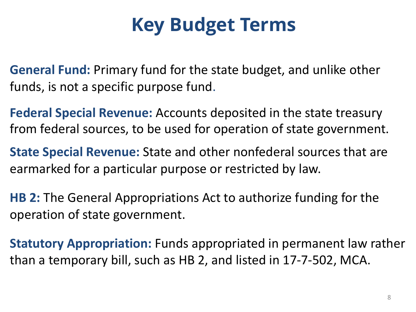## **Key Budget Terms**

**General Fund:** Primary fund for the state budget, and unlike other funds, is not a specific purpose fund.

**Federal Special Revenue:** Accounts deposited in the state treasury from federal sources, to be used for operation of state government.

**State Special Revenue:** State and other nonfederal sources that are earmarked for a particular purpose or restricted by law.

**HB 2:** The General Appropriations Act to authorize funding for the operation of state government.

**Statutory Appropriation:** Funds appropriated in permanent law rather than a temporary bill, such as HB 2, and listed in 17-7-502, MCA.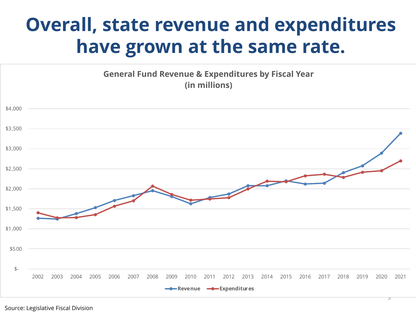## **Overall, state revenue and expenditures have grown at the same rate.**





Source: Legislative Fiscal Division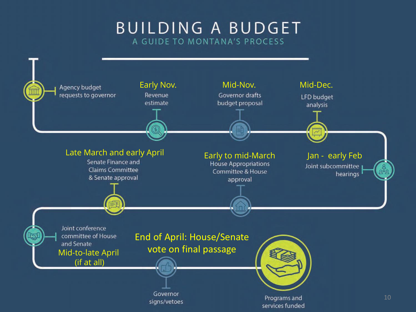#### **BUILDING A BUDGET** A GUIDE TO MONTANA'S PROCESS

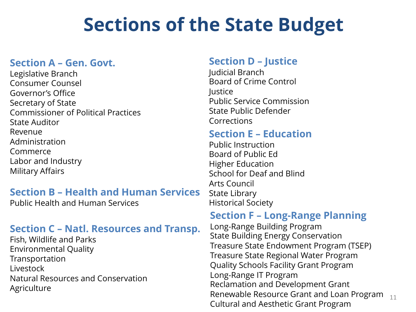## **Sections of the State Budget**

#### **Section A – Gen. Govt.**

Legislative Branch Consumer Counsel Governor's Office Secretary of State Commissioner of Political Practices State Auditor Revenue Administration Commerce Labor and Industry Military Affairs

#### **Section B – Health and Human Services**

Public Health and Human Services

#### **Section C – Natl. Resources and Transp.**

Fish, Wildlife and Parks Environmental Quality Transportation Livestock Natural Resources and Conservation **Agriculture** 

#### **Section D – Justice**

Judicial Branch Board of Crime Control Justice Public Service Commission State Public Defender Corrections

#### **Section E – Education**

Public Instruction Board of Public Ed Higher Education School for Deaf and Blind Arts Council State Library Historical Society

#### **Section F – Long-Range Planning**

Long-Range Building Program State Building Energy Conservation Treasure State Endowment Program (TSEP) Treasure State Regional Water Program Quality Schools Facility Grant Program Long-Range IT Program Reclamation and Development Grant Renewable Resource Grant and Loan Program Cultural and Aesthetic Grant Program 11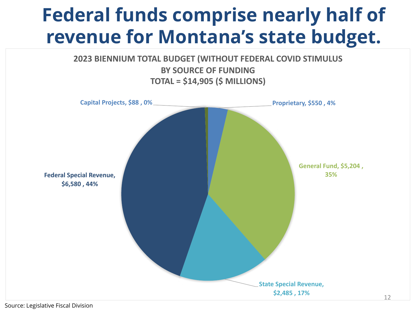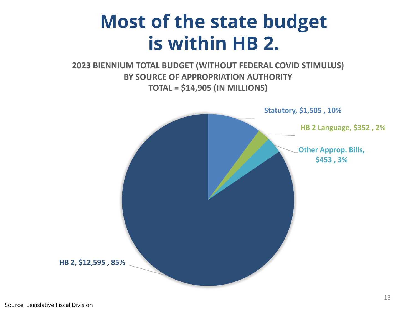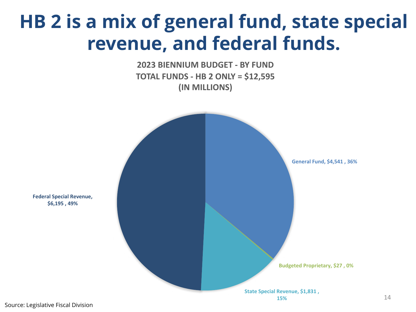### **HB 2 is a mix of general fund, state special revenue, and federal funds.**

**2023 BIENNIUM BUDGET - BY FUND TOTAL FUNDS - HB 2 ONLY = \$12,595 (IN MILLIONS)**



**Federal Special Revenue, \$6,195 , 49%**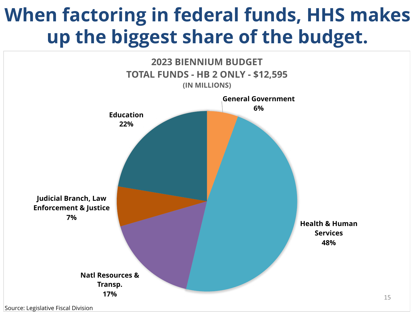## **When factoring in federal funds, HHS makes up the biggest share of the budget.**

![](_page_14_Figure_1.jpeg)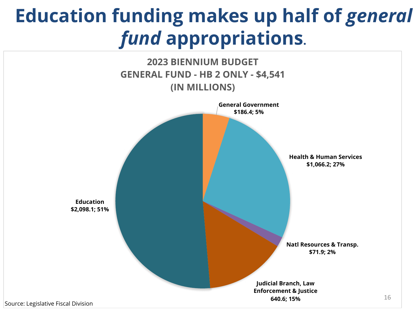## **Education funding makes up half of** *general fund* **appropriations.**

![](_page_15_Figure_1.jpeg)

Source: Legislative Fiscal Division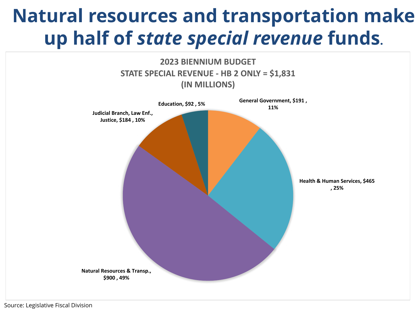### **Natural resources and transportation make up half of** *state special revenue* **funds.**

![](_page_16_Figure_1.jpeg)

Source: Legislative Fiscal Division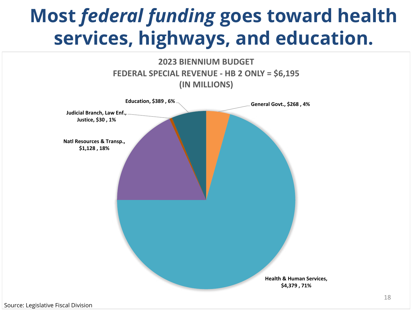## **Most** *federal funding* **goes toward health services, highways, and education.**

![](_page_17_Figure_1.jpeg)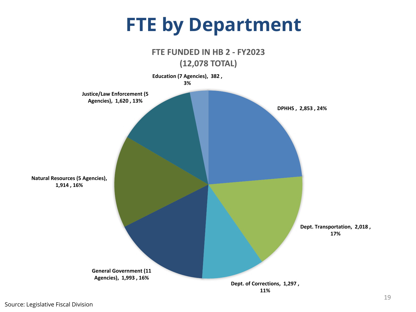### **FTE by Department**

![](_page_18_Figure_1.jpeg)